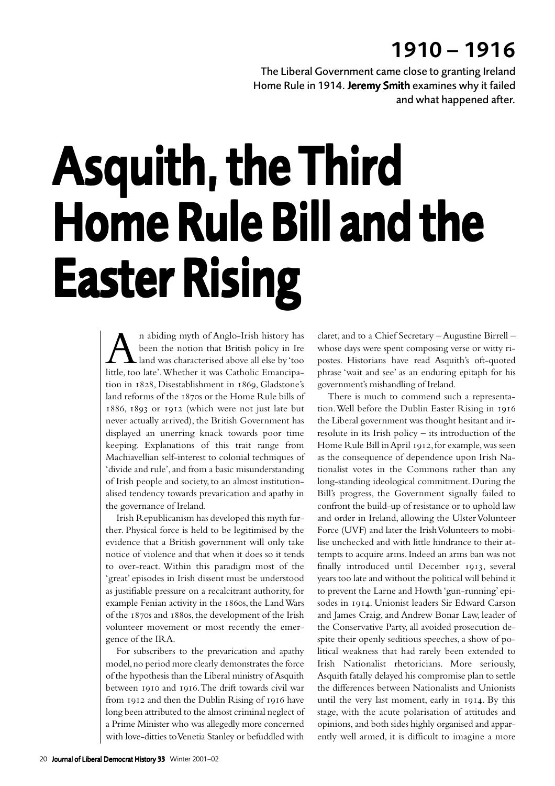## 1910 – 1916

The Liberal Government came close to granting Ireland Home Rule in 1914. Jeremy Smith examines why it failed and what happened after.

## Asquith, the Third Home Rule Bill and the **Easter Rising**

An abiding myth of Anglo-Irish history has been the notion that British policy in Ire land was characterised above all else by 'too little, too late'. Whether it was Catholic Emancipation in 1828, Disestablishment in 1869, Gladstone's land reforms of the 1870s or the Home Rule bills of 1886, 1893 or 1912 (which were not just late but never actually arrived), the British Government has displayed an unerring knack towards poor time keeping. Explanations of this trait range from Machiavellian self-interest to colonial techniques of 'divide and rule', and from a basic misunderstanding of Irish people and society, to an almost institutionalised tendency towards prevarication and apathy in the governance of Ireland.

Irish Republicanism has developed this myth further. Physical force is held to be legitimised by the evidence that a British government will only take notice of violence and that when it does so it tends to over-react. Within this paradigm most of the 'great' episodes in Irish dissent must be understood as justifiable pressure on a recalcitrant authority, for example Fenian activity in the 1860s, the Land Wars of the  $187$ os and  $188$ os, the development of the Irish volunteer movement or most recently the emergence of the IRA.

For subscribers to the prevarication and apathy model, no period more clearly demonstrates the force of the hypothesis than the Liberal ministry of Asquith between 1910 and 1916. The drift towards civil war from 1912 and then the Dublin Rising of 1916 have long been attributed to the almost criminal neglect of a Prime Minister who was allegedly more concerned with love-ditties to Venetia Stanley or befuddled with

claret, and to a Chief Secretary – Augustine Birrell – whose days were spent composing verse or witty ripostes. Historians have read Asquith's oft-quoted phrase 'wait and see' as an enduring epitaph for his government's mishandling of Ireland.

There is much to commend such a representation. Well before the Dublin Easter Rising in the Liberal government was thought hesitant and irresolute in its Irish policy – its introduction of the Home Rule Bill in April 1912, for example, was seen as the consequence of dependence upon Irish Nationalist votes in the Commons rather than any long-standing ideological commitment. During the Bill's progress, the Government signally failed to confront the build-up of resistance or to uphold law and order in Ireland, allowing the Ulster Volunteer Force (UVF) and later the Irish Volunteers to mobilise unchecked and with little hindrance to their attempts to acquire arms. Indeed an arms ban was not finally introduced until December 1913, several years too late and without the political will behind it to prevent the Larne and Howth 'gun-running' episodes in 1914. Unionist leaders Sir Edward Carson and James Craig, and Andrew Bonar Law, leader of the Conservative Party, all avoided prosecution despite their openly seditious speeches, a show of political weakness that had rarely been extended to Irish Nationalist rhetoricians. More seriously, Asquith fatally delayed his compromise plan to settle the differences between Nationalists and Unionists until the very last moment, early in 1914. By this stage, with the acute polarisation of attitudes and opinions, and both sides highly organised and apparently well armed, it is difficult to imagine a more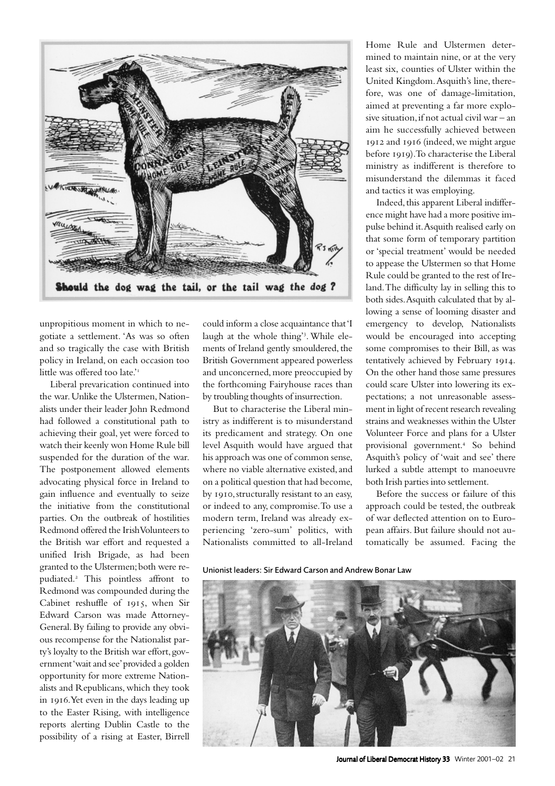

unpropitious moment in which to negotiate a settlement. 'As was so often and so tragically the case with British policy in Ireland, on each occasion too little was offered too late.'

Liberal prevarication continued into the war. Unlike the Ulstermen, Nationalists under their leader John Redmond had followed a constitutional path to achieving their goal, yet were forced to watch their keenly won Home Rule bill suspended for the duration of the war. The postponement allowed elements advocating physical force in Ireland to gain influence and eventually to seize the initiative from the constitutional parties. On the outbreak of hostilities Redmond offered the Irish Volunteers to the British war effort and requested a unified Irish Brigade, as had been granted to the Ulstermen; both were repudiated. This pointless affront to Redmond was compounded during the Cabinet reshuffle of 1915, when Sir Edward Carson was made Attorney-General. By failing to provide any obvious recompense for the Nationalist party's loyalty to the British war effort, government 'wait and see' provided a golden opportunity for more extreme Nationalists and Republicans, which they took in 1916. Yet even in the days leading up to the Easter Rising, with intelligence reports alerting Dublin Castle to the possibility of a rising at Easter, Birrell

could inform a close acquaintance that 'I laugh at the whole thing' . While elements of Ireland gently smouldered, the British Government appeared powerless and unconcerned, more preoccupied by the forthcoming Fairyhouse races than by troubling thoughts of insurrection.

But to characterise the Liberal ministry as indifferent is to misunderstand its predicament and strategy. On one level Asquith would have argued that his approach was one of common sense, where no viable alternative existed, and on a political question that had become, by 1910, structurally resistant to an easy, or indeed to any, compromise. To use a modern term, Ireland was already experiencing 'zero-sum' politics, with Nationalists committed to all-Ireland

Home Rule and Ulstermen determined to maintain nine, or at the very least six, counties of Ulster within the United Kingdom. Asquith's line, therefore, was one of damage-limitation, aimed at preventing a far more explosive situation, if not actual civil war – an aim he successfully achieved between 1912 and 1916 (indeed, we might argue before 1919). To characterise the Liberal ministry as indifferent is therefore to misunderstand the dilemmas it faced and tactics it was employing.

Indeed, this apparent Liberal indifference might have had a more positive impulse behind it. Asquith realised early on that some form of temporary partition or 'special treatment' would be needed to appease the Ulstermen so that Home Rule could be granted to the rest of Ireland. The difficulty lay in selling this to both sides. Asquith calculated that by allowing a sense of looming disaster and emergency to develop, Nationalists would be encouraged into accepting some compromises to their Bill, as was tentatively achieved by February 1914. On the other hand those same pressures could scare Ulster into lowering its expectations; a not unreasonable assessment in light of recent research revealing strains and weaknesses within the Ulster Volunteer Force and plans for a Ulster provisional government.<sup>4</sup> So behind Asquith's policy of 'wait and see' there lurked a subtle attempt to manoeuvre both Irish parties into settlement.

Before the success or failure of this approach could be tested, the outbreak of war deflected attention on to European affairs. But failure should not automatically be assumed. Facing the

Unionist leaders: Sir Edward Carson and Andrew Bonar Law



Journal of Liberal Democrat History 33 Winter 2001-02 21